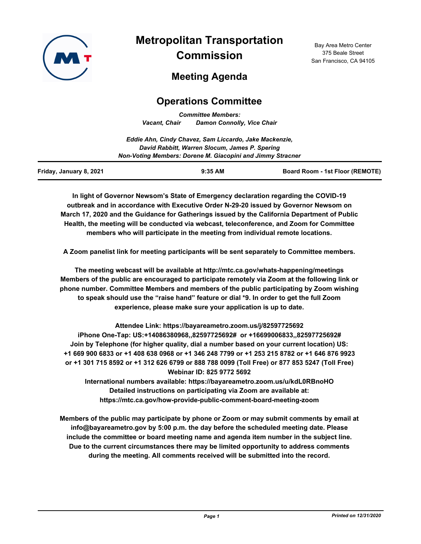

# **Metropolitan Transportation Commission**

Bay Area Metro Center 375 Beale Street San Francisco, CA 94105

# **Meeting Agenda**

# **Operations Committee**

*Committee Members: Vacant, Chair Damon Connolly, Vice Chair*

|                         | Eddie Ahn, Cindy Chavez, Sam Liccardo, Jake Mackenzie,     |                                        |
|-------------------------|------------------------------------------------------------|----------------------------------------|
|                         | David Rabbitt, Warren Slocum, James P. Spering             |                                        |
|                         | Non-Voting Members: Dorene M. Giacopini and Jimmy Stracner |                                        |
| Friday, January 8, 2021 | $9:35$ AM                                                  | <b>Board Room - 1st Floor (REMOTE)</b> |

**In light of Governor Newsom's State of Emergency declaration regarding the COVID-19 outbreak and in accordance with Executive Order N-29-20 issued by Governor Newsom on March 17, 2020 and the Guidance for Gatherings issued by the California Department of Public Health, the meeting will be conducted via webcast, teleconference, and Zoom for Committee members who will participate in the meeting from individual remote locations.**

**A Zoom panelist link for meeting participants will be sent separately to Committee members.**

**The meeting webcast will be available at http://mtc.ca.gov/whats-happening/meetings Members of the public are encouraged to participate remotely via Zoom at the following link or phone number. Committee Members and members of the public participating by Zoom wishing to speak should use the "raise hand" feature or dial \*9. In order to get the full Zoom experience, please make sure your application is up to date.**

**Attendee Link: https://bayareametro.zoom.us/j/82597725692 iPhone One-Tap: US:+14086380968,,82597725692# or +16699006833,,82597725692# Join by Telephone (for higher quality, dial a number based on your current location) US: +1 669 900 6833 or +1 408 638 0968 or +1 346 248 7799 or +1 253 215 8782 or +1 646 876 9923 or +1 301 715 8592 or +1 312 626 6799 or 888 788 0099 (Toll Free) or 877 853 5247 (Toll Free) Webinar ID: 825 9772 5692**

**International numbers available: https://bayareametro.zoom.us/u/kdL0RBnoHO Detailed instructions on participating via Zoom are available at: https://mtc.ca.gov/how-provide-public-comment-board-meeting-zoom**

**Members of the public may participate by phone or Zoom or may submit comments by email at info@bayareametro.gov by 5:00 p.m. the day before the scheduled meeting date. Please include the committee or board meeting name and agenda item number in the subject line. Due to the current circumstances there may be limited opportunity to address comments during the meeting. All comments received will be submitted into the record.**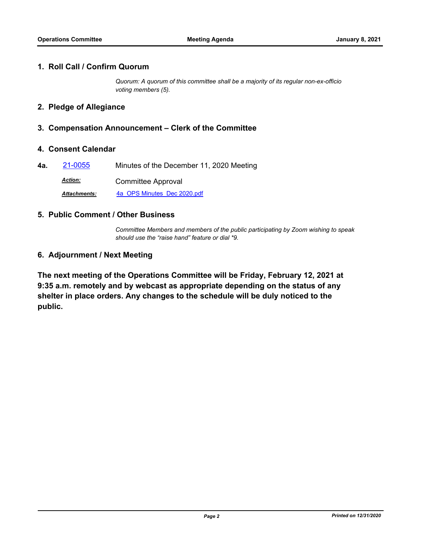#### **1. Roll Call / Confirm Quorum**

*Quorum: A quorum of this committee shall be a majority of its regular non-ex-officio voting members (5).*

#### **2. Pledge of Allegiance**

### **3. Compensation Announcement – Clerk of the Committee**

#### **4. Consent Calendar**

**4a.** [21-0055](http://mtc.legistar.com/gateway.aspx?m=l&id=/matter.aspx?key=21648) Minutes of the December 11, 2020 Meeting

Committee Approval *Action:*

*Attachments:* [4a\\_OPS Minutes\\_Dec 2020.pdf](http://mtc.legistar.com/gateway.aspx?M=F&ID=fce46d18-1047-4e6b-8a8a-3257d3331322.pdf)

#### **5. Public Comment / Other Business**

*Committee Members and members of the public participating by Zoom wishing to speak should use the "raise hand" feature or dial \*9.*

### **6. Adjournment / Next Meeting**

**The next meeting of the Operations Committee will be Friday, February 12, 2021 at 9:35 a.m. remotely and by webcast as appropriate depending on the status of any shelter in place orders. Any changes to the schedule will be duly noticed to the public.**